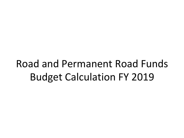# Road and Permanent Road Funds **Budget Calculation FY 2019**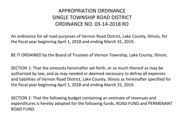#### APPROPRIATION ORDINANCE SINGLE TOWNSHIP ROAD DISTRICT ORDINANCE NO. 03-14-2018 RD

An ordinance for all road purposes of Vernon Road District, Lake County, Illinois, for the fiscal year beginning April 1, 2018 and ending March 31, 2019.

BE IT ORDAINED by the Board of Trustees of Vernon Township, Lake County, Illinois.

SECTION 1: That the amounts hereinafter set forth, or so much thereof as may be authorized by law, and as may needed or deemed necessary to defray all expenses and liabilities of Vernon Road District, Lake County, Illinois as hereinafter specified for the fiscal year beginning April 1, 2018 and ending March 31, 2019.

SECTION 2: That the following budget containing an estimate of revenues and expenditures is hereby adopted for the following funds, ROAD FUND and PERMENANT ROAD FUND.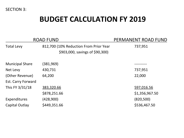SECTION 3:

#### **BUDGET CALCULATION FY 2019**

|                           | <b>ROAD FUND</b>                                                          | PERMANENT ROAD FUND |
|---------------------------|---------------------------------------------------------------------------|---------------------|
| <b>Total Levy</b>         | 812,700 (10% Reduction From Prior Year<br>\$903,000, savings of \$90,300) | 737,951             |
| <b>Municipal Share</b>    | (381,969)                                                                 |                     |
| Net Levy                  | 430,731                                                                   | 737,951             |
| (Other Revenue)           | 64,200                                                                    | 22,000              |
| <b>Est. Carry Forward</b> |                                                                           |                     |
| This FY 3/31/18           | 383,320.66                                                                | 597,016.56          |
|                           | \$878,251.66                                                              | \$1,356,967.50      |
| Expenditures              | (428,900)                                                                 | (820, 500)          |
| Capital Outlay            | \$449,351.66                                                              | \$536,467.50        |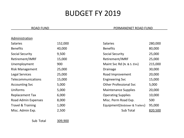## **BUDGET FY 2019**

Administration 

#### ROAD FUND **ROAD FUND ROAD FUND**

| <b>Salaries</b>              | 152,000 | <b>Salaries</b>                  | 280,000 |
|------------------------------|---------|----------------------------------|---------|
| <b>Benefits</b>              | 40,000  | <b>Benefits</b>                  | 80,000  |
| <b>Social Security</b>       | 9,500   | <b>Social Security</b>           | 25,000  |
| Retirement/IMRF              | 15,000  | Retirement/IMRF                  | 25,000  |
| Unemployment                 | 900     | Maint Svc Rd (N. & S. Elm)       | 215,000 |
| <b>Risk Management</b>       | 25,000  | <b>Drainage</b>                  | 30,000  |
| <b>Legal Services</b>        | 25,000  | Road Improvement                 | 20,000  |
| <b>Telecommunications</b>    | 15,000  | <b>Engineering Svc</b>           | 15,000  |
| <b>Accounting Svc</b>        | 5,000   | <b>Other Professional Svc</b>    | 5,000   |
| Uniforms                     | 5,000   | <b>Maintenance Supplies</b>      | 20,000  |
| <b>Replacement Tax</b>       | 6,000   | <b>Operating Supplies</b>        | 10,000  |
| Road Admin Expenses          | 8,000   | Misc. Perm Road Exp.             | 500     |
| <b>Travel &amp; Training</b> | 1,000   | Equipment (Skidsteer & Trailers) | 95,000  |
| Misc. Admin Exp.             | 2,500   | Sub Total                        | 820,500 |

 Sub Total 309,900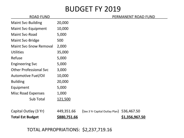### **BUDGET FY 2019**

| <b>ROAD FUND</b>              |                     |                                | PERMANENT ROAD FUND |
|-------------------------------|---------------------|--------------------------------|---------------------|
| <b>Maint Svc-Building</b>     | 20,000              |                                |                     |
| <b>Maint Svc-Equipment</b>    | 10,000              |                                |                     |
| <b>Maint Svc-Road</b>         | 5,000               |                                |                     |
| Maint Svc-Bridge              | 500                 |                                |                     |
| <b>Maint Svc-Snow Removal</b> | 2,000               |                                |                     |
| <b>Utilities</b>              | 35,000              |                                |                     |
| Refuse                        | 5,000               |                                |                     |
| <b>Engineering Svc</b>        | 5,000               |                                |                     |
| <b>Other Professional Svc</b> | 3,000               |                                |                     |
| <b>Automotive Fuel/Oil</b>    | 10,000              |                                |                     |
| <b>Building</b>               | 20,000              |                                |                     |
| Equipment                     | 5,000               |                                |                     |
| <b>Misc Road Expenses</b>     | 1,000               |                                |                     |
| Sub Total                     | 121,500             |                                |                     |
|                               |                     |                                |                     |
| Capital Outlay (3 Yr)         | 449,351.66          | (See 3 Yr Capital Outlay Plan) | 536,467.50          |
| <b>Total Est Budget</b>       | <u>\$880,751.66</u> |                                | \$1,356,967.50      |

TOTAL APPROPRIATIONS: \$2,237,719.16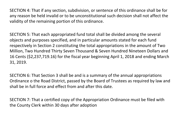SECTION 4: That if any section, subdivision, or sentence of this ordinance shall be for any reason be held invalid or to be unconstitutional such decision shall not affect the validity of the remaining portion of this ordinance.

SECTION 5: That each appropriated fund total shall be divided among the several objects and purposes specified, and in particular amounts stated for each fund respectively in Section 2 constituting the total appropriations in the amount of Two Million, Two Hundred Thirty Seven Thousand & Seven Hundred Nineteen Dollars and 16 Cents (\$2,237,719.16) for the fiscal year beginning April 1, 2018 and ending March 31, 2019. 

SECTION 6: That Section 3 shall be and is a summary of the annual appropriations Ordinance o the Road District, passed by the Board of Trustees as required by law and shall be in full force and effect from and after this date.

SECTION 7: That a certified copy of the Appropriation Ordinance must be filed with the County Clerk within 30 days after adoption